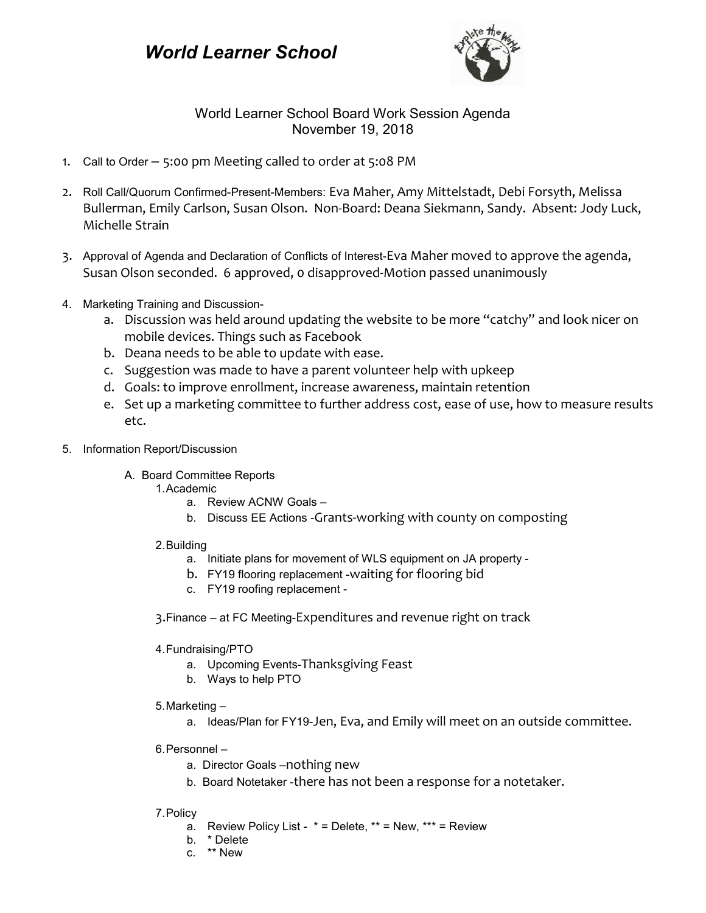## *World Learner School*



## World Learner School Board Work Session Agenda November 19, 2018

- 1. Call to Order 5:00 pm Meeting called to order at 5:08 PM
- 2. Roll Call/Quorum Confirmed-Present-Members: Eva Maher, Amy Mittelstadt, Debi Forsyth, Melissa Bullerman, Emily Carlson, Susan Olson. Non-Board: Deana Siekmann, Sandy. Absent: Jody Luck, Michelle Strain
- 3. Approval of Agenda and Declaration of Conflicts of Interest-Eva Maher moved to approve the agenda, Susan Olson seconded. 6 approved, 0 disapproved-Motion passed unanimously
- 4. Marketing Training and Discussion
	- a. Discussion was held around updating the website to be more "catchy" and look nicer on mobile devices. Things such as Facebook
	- b. Deana needs to be able to update with ease.
	- c. Suggestion was made to have a parent volunteer help with upkeep
	- d. Goals: to improve enrollment, increase awareness, maintain retention
	- e. Set up a marketing committee to further address cost, ease of use, how to measure results etc.
- 5. Information Report/Discussion
	- A. Board Committee Reports
		- 1.Academic
			- a. Review ACNW Goals –
			- b. Discuss EE Actions -Grants-working with county on composting
		- 2.Building
			- a. Initiate plans for movement of WLS equipment on JA property -
			- b. FY19 flooring replacement -waiting for flooring bid
			- c. FY19 roofing replacement -
		- 3.Finance at FC Meeting-Expenditures and revenue right on track
		- 4.Fundraising/PTO
			- a. Upcoming Events-Thanksgiving Feast
			- b. Ways to help PTO
		- 5.Marketing
			- a. Ideas/Plan for FY19-Jen, Eva, and Emily will meet on an outside committee.
		- 6.Personnel
			- a. Director Goals –nothing new
			- b. Board Notetaker -there has not been a response for a notetaker.

## 7.Policy

- a. Review Policy List  $* =$  Delete,  $** =$  New,  $*** =$  Review
- b. \* Delete
- c. \*\* New